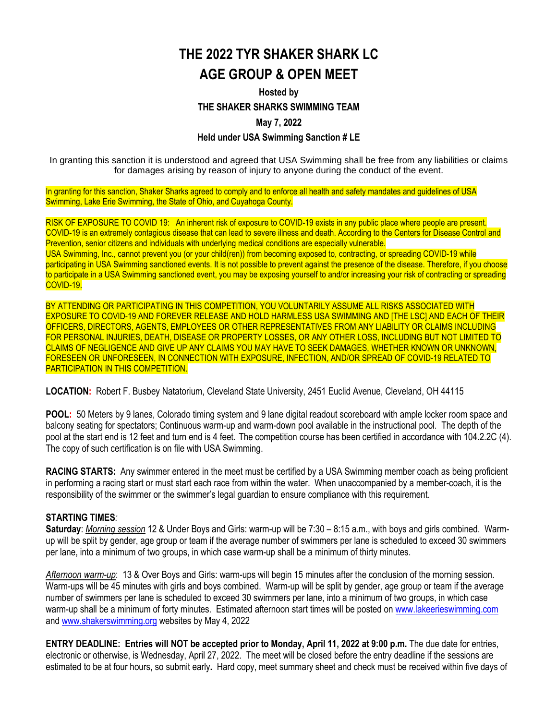## **THE 2022 TYR SHAKER SHARK LC AGE GROUP & OPEN MEET**

### **Hosted by THE SHAKER SHARKS SWIMMING TEAM May 7, 2022**

### **Held under USA Swimming Sanction # LE**

In granting this sanction it is understood and agreed that USA Swimming shall be free from any liabilities or claims for damages arising by reason of injury to anyone during the conduct of the event.

In granting for this sanction, Shaker Sharks agreed to comply and to enforce all health and safety mandates and guidelines of USA Swimming, Lake Erie Swimming, the State of Ohio, and Cuyahoga County.

RISK OF EXPOSURE TO COVID 19: An inherent risk of exposure to COVID-19 exists in any public place where people are present. COVID-19 is an extremely contagious disease that can lead to severe illness and death. According to the Centers for Disease Control and Prevention, senior citizens and individuals with underlying medical conditions are especially vulnerable. USA Swimming, Inc., cannot prevent you (or your child(ren)) from becoming exposed to, contracting, or spreading COVID-19 while participating in USA Swimming sanctioned events. It is not possible to prevent against the presence of the disease. Therefore, if you choose to participate in a USA Swimming sanctioned event, you may be exposing yourself to and/or increasing your risk of contracting or spreading COVID-19.

BY ATTENDING OR PARTICIPATING IN THIS COMPETITION, YOU VOLUNTARILY ASSUME ALL RISKS ASSOCIATED WITH EXPOSURE TO COVID-19 AND FOREVER RELEASE AND HOLD HARMLESS USA SWIMMING AND [THE LSC] AND EACH OF THEIR OFFICERS, DIRECTORS, AGENTS, EMPLOYEES OR OTHER REPRESENTATIVES FROM ANY LIABILITY OR CLAIMS INCLUDING FOR PERSONAL INJURIES, DEATH, DISEASE OR PROPERTY LOSSES, OR ANY OTHER LOSS, INCLUDING BUT NOT LIMITED TO CLAIMS OF NEGLIGENCE AND GIVE UP ANY CLAIMS YOU MAY HAVE TO SEEK DAMAGES, WHETHER KNOWN OR UNKNOWN, FORESEEN OR UNFORESEEN, IN CONNECTION WITH EXPOSURE, INFECTION, AND/OR SPREAD OF COVID-19 RELATED TO PARTICIPATION IN THIS COMPETITION.

**LOCATION:** Robert F. Busbey Natatorium, Cleveland State University, 2451 Euclid Avenue, Cleveland, OH 44115

**POOL:** 50 Meters by 9 lanes, Colorado timing system and 9 lane digital readout scoreboard with ample locker room space and balcony seating for spectators; Continuous warm-up and warm-down pool available in the instructional pool. The depth of the pool at the start end is 12 feet and turn end is 4 feet. The competition course has been certified in accordance with 104.2.2C (4). The copy of such certification is on file with USA Swimming.

**RACING STARTS:**Any swimmer entered in the meet must be certified by a USA Swimming member coach as being proficient in performing a racing start or must start each race from within the water. When unaccompanied by a member-coach, it is the responsibility of the swimmer or the swimmer's legal guardian to ensure compliance with this requirement.

### **STARTING TIMES***:*

**Saturday**: *Morning session* 12 & Under Boys and Girls: warm-up will be 7:30 – 8:15 a.m., with boys and girls combined. Warmup will be split by gender, age group or team if the average number of swimmers per lane is scheduled to exceed 30 swimmers per lane, into a minimum of two groups, in which case warm-up shall be a minimum of thirty minutes.

*Afternoon warm-up*: 13 & Over Boys and Girls: warm-ups will begin 15 minutes after the conclusion of the morning session. Warm-ups will be 45 minutes with girls and boys combined. Warm-up will be split by gender, age group or team if the average number of swimmers per lane is scheduled to exceed 30 swimmers per lane, into a minimum of two groups, in which case warm-up shall be a minimum of forty minutes. Estimated afternoon start times will be posted on [www.lakeerieswimming.com](http://www.lakeerieswimming.com/) and [www.shakerswimming.org](http://www.shakerswimming.org/) websites by May 4, 2022

**ENTRY DEADLINE: Entries will NOT be accepted prior to Monday, April 11, 2022 at 9:00 p.m.** The due date for entries, electronic or otherwise, is Wednesday, April 27, 2022. The meet will be closed before the entry deadline if the sessions are estimated to be at four hours, so submit early**.** Hard copy, meet summary sheet and check must be received within five days of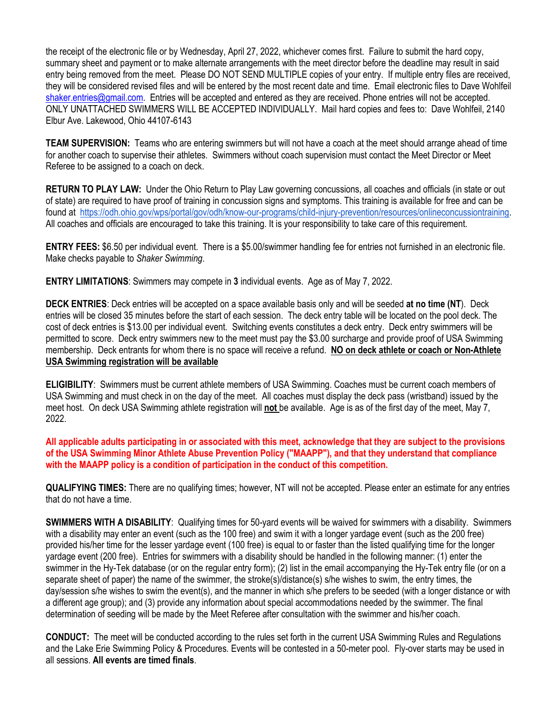the receipt of the electronic file or by Wednesday, April 27, 2022, whichever comes first. Failure to submit the hard copy, summary sheet and payment or to make alternate arrangements with the meet director before the deadline may result in said entry being removed from the meet. Please DO NOT SEND MULTIPLE copies of your entry. If multiple entry files are received, they will be considered revised files and will be entered by the most recent date and time. Email electronic files to Dave Wohlfeil [shaker.entries@gmail.com.](mailto:shaker.entries@gmail.com) Entries will be accepted and entered as they are received. Phone entries will not be accepted. ONLY UNATTACHED SWIMMERS WILL BE ACCEPTED INDIVIDUALLY. Mail hard copies and fees to: Dave Wohlfeil, 2140 Elbur Ave. Lakewood, Ohio 44107-6143

**TEAM SUPERVISION:** Teams who are entering swimmers but will not have a coach at the meet should arrange ahead of time for another coach to supervise their athletes. Swimmers without coach supervision must contact the Meet Director or Meet Referee to be assigned to a coach on deck.

**RETURN TO PLAY LAW:**Under the Ohio Return to Play Law governing concussions, all coaches and officials (in state or out of state) are required to have proof of training in concussion signs and symptoms. This training is available for free and can be found at [https://odh.ohio.gov/wps/portal/gov/odh/know-our-programs/child-injury-prevention/resources/onlineconcussiontraining.](https://odh.ohio.gov/wps/portal/gov/odh/know-our-programs/child-injury-prevention/resources/onlineconcussiontraining) All coaches and officials are encouraged to take this training. It is your responsibility to take care of this requirement.

**ENTRY FEES:** \$6.50 per individual event. There is a \$5.00/swimmer handling fee for entries not furnished in an electronic file. Make checks payable to *Shaker Swimming*.

**ENTRY LIMITATIONS**: Swimmers may compete in **3** individual events. Age as of May 7, 2022.

**DECK ENTRIES**: Deck entries will be accepted on a space available basis only and will be seeded **at no time (NT**). Deck entries will be closed 35 minutes before the start of each session. The deck entry table will be located on the pool deck. The cost of deck entries is \$13.00 per individual event. Switching events constitutes a deck entry. Deck entry swimmers will be permitted to score. Deck entry swimmers new to the meet must pay the \$3.00 surcharge and provide proof of USA Swimming membership. Deck entrants for whom there is no space will receive a refund. **NO on deck athlete or coach or Non-Athlete USA Swimming registration will be available**

**ELIGIBILITY**: Swimmers must be current athlete members of USA Swimming. Coaches must be current coach members of USA Swimming and must check in on the day of the meet. All coaches must display the deck pass (wristband) issued by the meet host. On deck USA Swimming athlete registration will **not** be available. Age is as of the first day of the meet, May 7, 2022.

All applicable adults participating in or associated with this meet, acknowledge that they are subject to the provisions **of the USA Swimming Minor Athlete Abuse Prevention Policy ("MAAPP"), and that they understand that compliance with the MAAPP policy is a condition of participation in the conduct of this competition.**

**QUALIFYING TIMES:** There are no qualifying times; however, NT will not be accepted. Please enter an estimate for any entries that do not have a time.

**SWIMMERS WITH A DISABILITY**: Qualifying times for 50-yard events will be waived for swimmers with a disability. Swimmers with a disability may enter an event (such as the 100 free) and swim it with a longer yardage event (such as the 200 free) provided his/her time for the lesser yardage event (100 free) is equal to or faster than the listed qualifying time for the longer yardage event (200 free). Entries for swimmers with a disability should be handled in the following manner: (1) enter the swimmer in the Hy-Tek database (or on the regular entry form); (2) list in the email accompanying the Hy-Tek entry file (or on a separate sheet of paper) the name of the swimmer, the stroke(s)/distance(s) s/he wishes to swim, the entry times, the day/session s/he wishes to swim the event(s), and the manner in which s/he prefers to be seeded (with a longer distance or with a different age group); and (3) provide any information about special accommodations needed by the swimmer. The final determination of seeding will be made by the Meet Referee after consultation with the swimmer and his/her coach.

**CONDUCT:** The meet will be conducted according to the rules set forth in the current USA Swimming Rules and Regulations and the Lake Erie Swimming Policy & Procedures*.* Events will be contested in a 50-meter pool. Fly-over starts may be used in all sessions. **All events are timed finals**.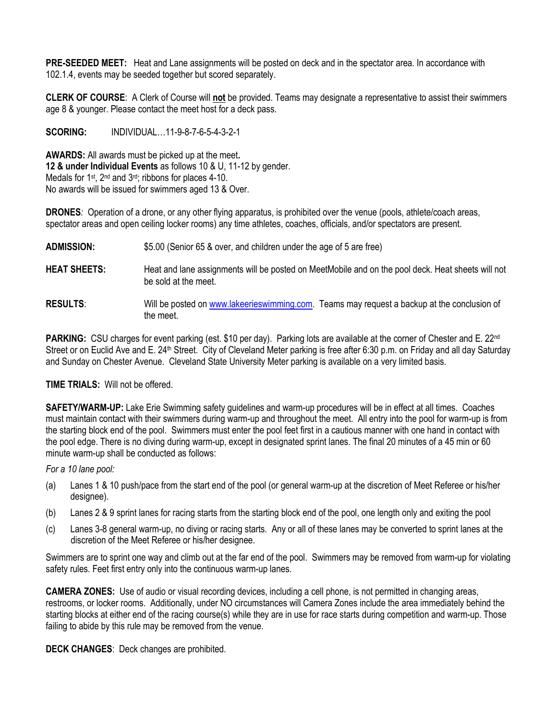**PRE-SEEDED MEET:** Heat and Lane assignments will be posted on deck and in the spectator area. In accordance with 102.1.4, events may be seeded together but scored separately.

**CLERK OF COURSE**: A Clerk of Course will **not** be provided. Teams may designate a representative to assist their swimmers age 8 & younger. Please contact the meet host for a deck pass.

**SCORING:** INDIVIDUAL…11-9-8-7-6-5-4-3-2-1

**AWARDS:** All awards must be picked up at the meet**. 12 & under Individual Events** as follows 10 & U, 11-12 by gender. Medals for  $1^{st}$ ,  $2^{nd}$  and  $3^{rd}$ ; ribbons for places 4-10. No awards will be issued for swimmers aged 13 & Over.

**DRONES***:* Operation of a drone, or any other flying apparatus, is prohibited over the venue (pools, athlete/coach areas, spectator areas and open ceiling locker rooms) any time athletes, coaches, officials, and/or spectators are present.

#### **ADMISSION:** \$5.00 (Senior 65 & over, and children under the age of 5 are free)

- **HEAT SHEETS:** Heat and lane assignments will be posted on MeetMobile and on the pool deck. Heat sheets will not be sold at the meet.
- **RESULTS**: Will be posted on [www.lakeerieswimming.com.](http://www.lakeerieswimming.com/) Teams may request a backup at the conclusion of the meet.

**PARKING:** CSU charges for event parking (est. \$10 per day). Parking lots are available at the corner of Chester and E. 22<sup>nd</sup> Street or on Euclid Ave and E. 24<sup>th</sup> Street. City of Cleveland Meter parking is free after 6:30 p.m. on Friday and all day Saturday and Sunday on Chester Avenue. Cleveland State University Meter parking is available on a very limited basis.

**TIME TRIALS:** Will not be offered.

**SAFETY/WARM-UP:** Lake Erie Swimming safety guidelines and warm-up procedures will be in effect at all times. Coaches must maintain contact with their swimmers during warm-up and throughout the meet. All entry into the pool for warm-up is from the starting block end of the pool. Swimmers must enter the pool feet first in a cautious manner with one hand in contact with the pool edge. There is no diving during warm-up, except in designated sprint lanes. The final 20 minutes of a 45 min or 60 minute warm-up shall be conducted as follows:

*For a 10 lane pool:*

- (a) Lanes 1 & 10 push/pace from the start end of the pool (or general warm-up at the discretion of Meet Referee or his/her designee).
- (b) Lanes 2 & 9 sprint lanes for racing starts from the starting block end of the pool, one length only and exiting the pool
- (c) Lanes 3-8 general warm-up, no diving or racing starts. Any or all of these lanes may be converted to sprint lanes at the discretion of the Meet Referee or his/her designee.

Swimmers are to sprint one way and climb out at the far end of the pool. Swimmers may be removed from warm-up for violating safety rules. Feet first entry only into the continuous warm-up lanes.

**CAMERA ZONES:** Use of audio or visual recording devices, including a cell phone, is not permitted in changing areas, restrooms, or locker rooms. Additionally, under NO circumstances will Camera Zones include the area immediately behind the starting blocks at either end of the racing course(s) while they are in use for race starts during competition and warm-up. Those failing to abide by this rule may be removed from the venue.

**DECK CHANGES**: Deck changes are prohibited.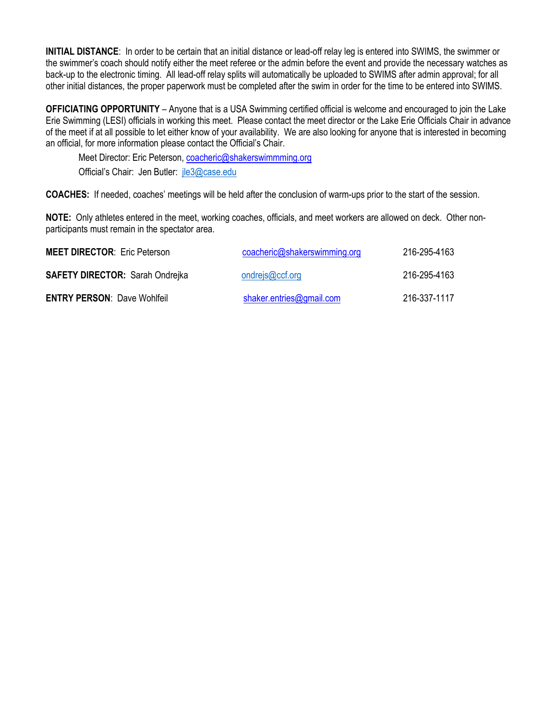**INITIAL DISTANCE**: In order to be certain that an initial distance or lead-off relay leg is entered into SWIMS, the swimmer or the swimmer's coach should notify either the meet referee or the admin before the event and provide the necessary watches as back-up to the electronic timing. All lead-off relay splits will automatically be uploaded to SWIMS after admin approval; for all other initial distances, the proper paperwork must be completed after the swim in order for the time to be entered into SWIMS.

**OFFICIATING OPPORTUNITY** – Anyone that is a USA Swimming certified official is welcome and encouraged to join the Lake Erie Swimming (LESI) officials in working this meet. Please contact the meet director or the Lake Erie Officials Chair in advance of the meet if at all possible to let either know of your availability. We are also looking for anyone that is interested in becoming an official, for more information please contact the Official's Chair.

Meet Director: Eric Peterson, [coacheric@shakerswimmming.org](mailto:coacheric@shakerswimmming.org) Official's Chair: Jen Butler: [jle3@case.edu](mailto:jle3@case.edu)

**COACHES:** If needed, coaches' meetings will be held after the conclusion of warm-ups prior to the start of the session.

**NOTE:** Only athletes entered in the meet, working coaches, officials, and meet workers are allowed on deck. Other nonparticipants must remain in the spectator area.

| <b>MEET DIRECTOR: Eric Peterson</b>    | coacheric@shakerswimming.org | 216-295-4163 |  |
|----------------------------------------|------------------------------|--------------|--|
| <b>SAFETY DIRECTOR: Sarah Ondrejka</b> | ondrejs@ccf.org              | 216-295-4163 |  |
| <b>ENTRY PERSON: Dave Wohlfeil</b>     | shaker.entries@gmail.com     | 216-337-1117 |  |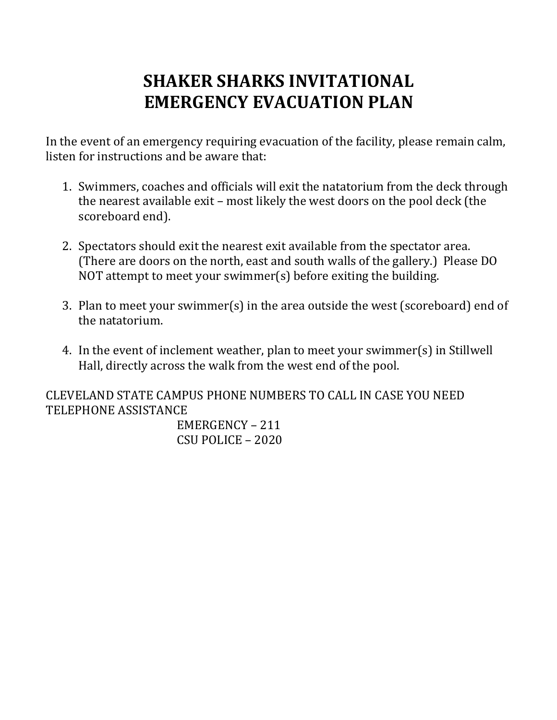# **SHAKER SHARKS INVITATIONAL EMERGENCY EVACUATION PLAN**

In the event of an emergency requiring evacuation of the facility, please remain calm, listen for instructions and be aware that:

- 1. Swimmers, coaches and officials will exit the natatorium from the deck through the nearest available exit – most likely the west doors on the pool deck (the scoreboard end).
- 2. Spectators should exit the nearest exit available from the spectator area. (There are doors on the north, east and south walls of the gallery.) Please DO NOT attempt to meet your swimmer(s) before exiting the building.
- 3. Plan to meet your swimmer(s) in the area outside the west (scoreboard) end of the natatorium.
- 4. In the event of inclement weather, plan to meet your swimmer(s) in Stillwell Hall, directly across the walk from the west end of the pool.

CLEVELAND STATE CAMPUS PHONE NUMBERS TO CALL IN CASE YOU NEED TELEPHONE ASSISTANCE

> EMERGENCY – 211 CSU POLICE – 2020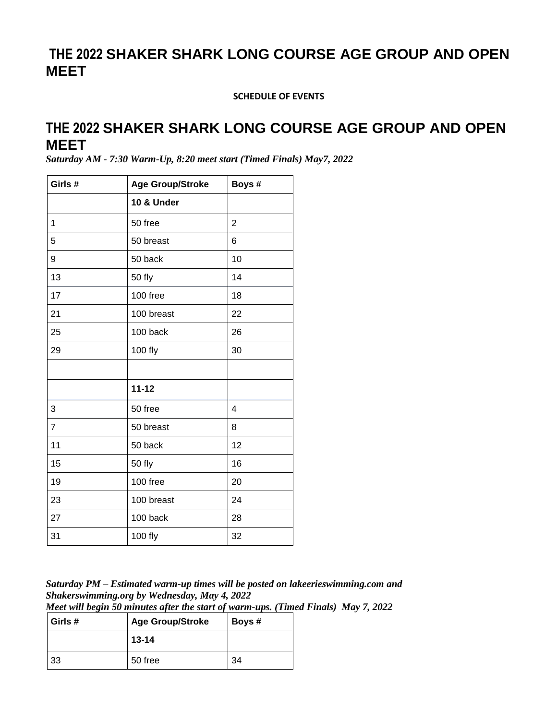## **THE 2022 SHAKER SHARK LONG COURSE AGE GROUP AND OPEN MEET**

**SCHEDULE OF EVENTS**

### **THE 2022 SHAKER SHARK LONG COURSE AGE GROUP AND OPEN MEET**

*Saturday AM - 7:30 Warm-Up, 8:20 meet start (Timed Finals) May7, 2022*

| Girls #        | <b>Age Group/Stroke</b> | Boys#          |
|----------------|-------------------------|----------------|
|                | 10 & Under              |                |
| 1              | 50 free                 | $\overline{2}$ |
| 5              | 50 breast               | 6              |
| 9              | 50 back                 | 10             |
| 13             | 50 fly                  | 14             |
| 17             | 100 free                | 18             |
| 21             | 100 breast              | 22             |
| 25             | 100 back                | 26             |
| 29             | 100 fly                 | 30             |
|                |                         |                |
|                | $11 - 12$               |                |
| 3              | 50 free                 | 4              |
| $\overline{7}$ | 50 breast               | 8              |
| 11             | 50 back                 | 12             |
| 15             | 50 fly                  | 16             |
| 19             | 100 free                | 20             |
| 23             | 100 breast              | 24             |
| 27             | 100 back                | 28             |
| 31             | 100 fly                 | 32             |

*Saturday PM – Estimated warm-up times will be posted on lakeerieswimming.com and Shakerswimming.org by Wednesday, May 4, 2022*

*Meet will begin 50 minutes after the start of warm-ups. (Timed Finals) May 7, 2022*

| Girls # | <b>Age Group/Stroke</b> | Boys # |
|---------|-------------------------|--------|
|         | $13 - 14$               |        |
| -33     | 50 free                 | 34     |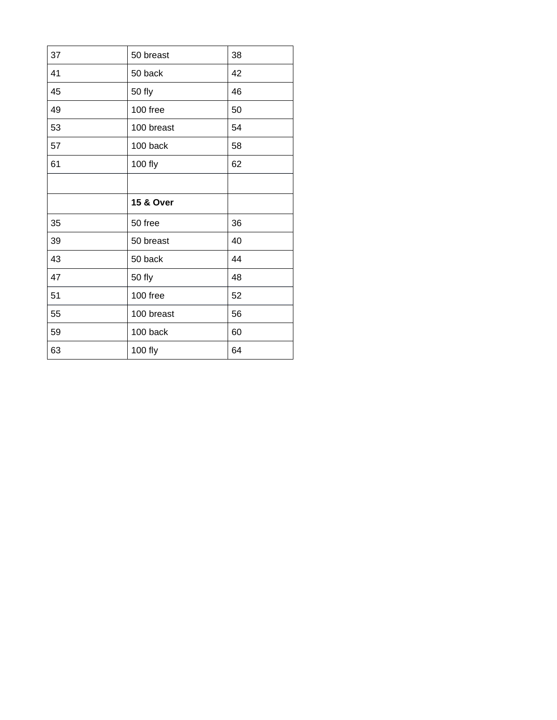| 37 | 50 breast  | 38 |
|----|------------|----|
| 41 | 50 back    | 42 |
| 45 | 50 fly     | 46 |
| 49 | 100 free   | 50 |
| 53 | 100 breast | 54 |
| 57 | 100 back   | 58 |
| 61 | 100 fly    | 62 |
|    |            |    |
|    |            |    |
|    | 15 & Over  |    |
| 35 | 50 free    | 36 |
| 39 | 50 breast  | 40 |
| 43 | 50 back    | 44 |
| 47 | 50 fly     | 48 |
| 51 | 100 free   | 52 |
| 55 | 100 breast | 56 |
| 59 | 100 back   | 60 |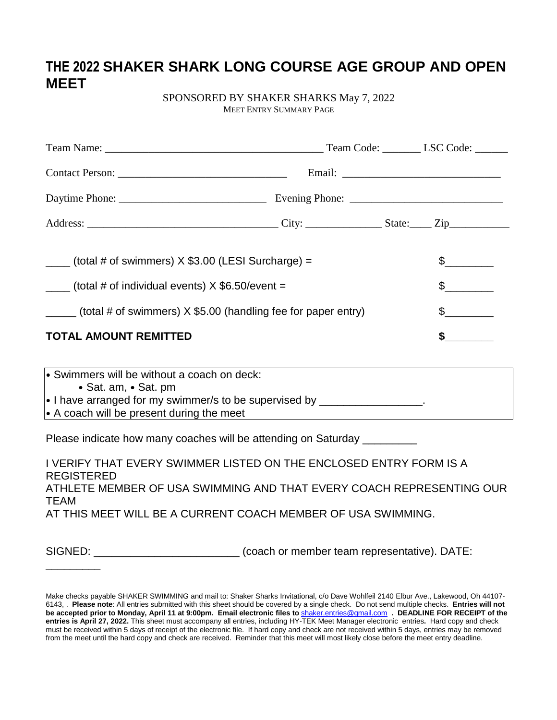## **THE 2022 SHAKER SHARK LONG COURSE AGE GROUP AND OPEN MEET**

SPONSORED BY SHAKER SHARKS May 7, 2022 MEET ENTRY SUMMARY PAGE

| $\frac{1}{1}$ (total # of swimmers) X \$3.00 (LESI Surcharge) =                                                                                                                                                                                                                                                                                                                                                       |  |  | $\mathcal{S}$ |
|-----------------------------------------------------------------------------------------------------------------------------------------------------------------------------------------------------------------------------------------------------------------------------------------------------------------------------------------------------------------------------------------------------------------------|--|--|---------------|
| $\frac{1}{1}$ (total # of individual events) X \$6.50/event =                                                                                                                                                                                                                                                                                                                                                         |  |  | $\mathbb{S}$  |
| $\frac{1}{\sqrt{1-\frac{1}{1-\frac{1}{1-\frac{1}{1-\frac{1}{1-\frac{1}{1-\frac{1}{1-\frac{1}{1-\frac{1}{1-\frac{1}{1-\frac{1}{1-\frac{1}{1-\frac{1}{1-\frac{1}{1-\frac{1}{1-\frac{1}{1-\frac{1}{1-\frac{1}{1-\frac{1}{1-\frac{1}{1-\frac{1}{1-\frac{1}{1-\frac{1}{1-\frac{1}{1-\frac{1}{1-\frac{1}{1-\frac{1}{1-\frac{1}{1-\frac{1}{1-\frac{1}{1-\frac{1}{1-\frac{1}{1-\frac{1}{1-\frac{1}{1-\frac{1}{1-\frac{1}{1-\$ |  |  | $\mathbb{S}$  |
| <b>TOTAL AMOUNT REMITTED</b>                                                                                                                                                                                                                                                                                                                                                                                          |  |  | S             |

| • Swimmers will be without a coach on deck:            |  |
|--------------------------------------------------------|--|
| $\bullet$ Sat. am, $\bullet$ Sat. pm                   |  |
| • I have arranged for my swimmer/s to be supervised by |  |
| $\cdot$ A coach will be present during the meet        |  |

Please indicate how many coaches will be attending on Saturday \_\_\_\_\_\_\_\_\_

I VERIFY THAT EVERY SWIMMER LISTED ON THE ENCLOSED ENTRY FORM IS A REGISTERED ATHLETE MEMBER OF USA SWIMMING AND THAT EVERY COACH REPRESENTING OUR TEAM AT THIS MEET WILL BE A CURRENT COACH MEMBER OF USA SWIMMING.

\_\_\_\_\_\_\_\_\_

SIGNED: \_\_\_\_\_\_\_\_\_\_\_\_\_\_\_\_\_\_\_\_\_\_\_\_\_\_\_\_\_ (coach or member team representative). DATE:

Make checks payable SHAKER SWIMMING and mail to: Shaker Sharks Invitational, c/o Dave Wohlfeil 2140 Elbur Ave., Lakewood, Oh 44107- 6143, . **Please note**: All entries submitted with this sheet should be covered by a single check. Do not send multiple checks. **Entries will not** be accepted prior to Monday, April 11 at 9:00pm. Email electronic files to [shaker.entries@gmail.com](mailto:shaker.entries@gmail.com) . DEADLINE FOR RECEIPT of the **entries is April 27, 2022.** This sheet must accompany all entries, including HY-TEK Meet Manager electronic entries**.** Hard copy and check must be received within 5 days of receipt of the electronic file. If hard copy and check are not received within 5 days, entries may be removed from the meet until the hard copy and check are received. Reminder that this meet will most likely close before the meet entry deadline.